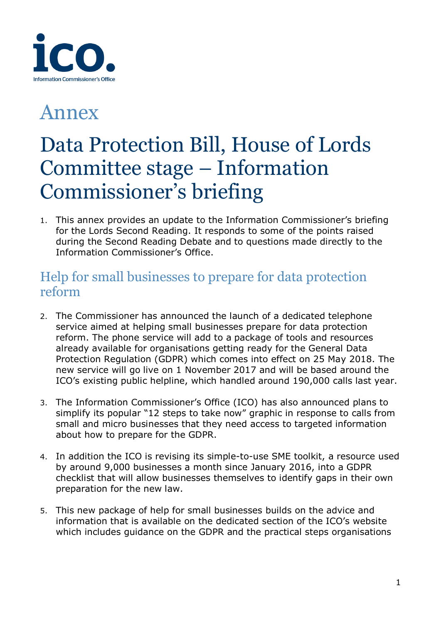

# Annex

# Data Protection Bill, House of Lords Committee stage – Information Commissioner's briefing

1. This annex provides an update to the Information Commissioner's briefing for the Lords Second Reading. It responds to some of the points raised during the Second Reading Debate and to questions made directly to the Information Commissioner's Office.

## Help for small businesses to prepare for data protection reform

- 2. The Commissioner has announced the launch of a dedicated telephone service aimed at helping small businesses prepare for data protection reform. The phone service will add to a package of tools and resources already available for organisations getting ready for the General Data Protection Regulation (GDPR) which comes into effect on 25 May 2018. The new service will go live on 1 November 2017 and will be based around the ICO's existing public helpline, which handled around 190,000 calls last year.
- 3. The Information Commissioner's Office (ICO) has also announced plans to simplify its popular "12 steps to take now" graphic in response to calls from small and micro businesses that they need access to targeted information about how to prepare for the GDPR.
- 4. In addition the ICO is revising its simple-to-use SME toolkit, a resource used by around 9,000 businesses a month since January 2016, into a GDPR checklist that will allow businesses themselves to identify gaps in their own preparation for the new law.
- 5. This new package of help for small businesses builds on the advice and information that is available on the dedicated section of the ICO's website which includes guidance on the GDPR and the practical steps organisations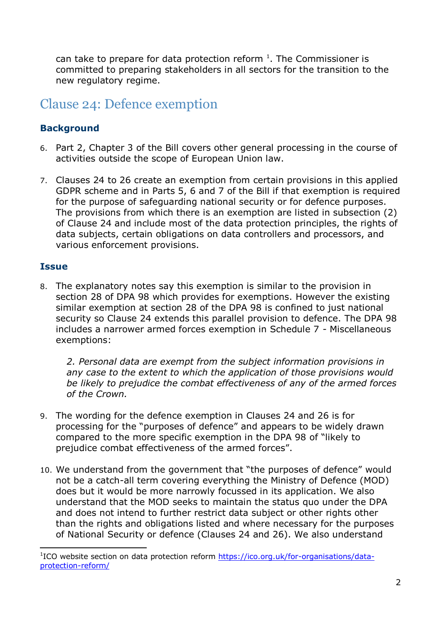can take to prepare for data protection reform  $1$ . The Commissioner is committed to preparing stakeholders in all sectors for the transition to the new regulatory regime.

### Clause 24: Defence exemption

#### **Background**

- 6. Part 2, Chapter 3 of the Bill covers other general processing in the course of activities outside the scope of European Union law.
- 7. Clauses 24 to 26 create an exemption from certain provisions in this applied GDPR scheme and in Parts 5, 6 and 7 of the Bill if that exemption is required for the purpose of safeguarding national security or for defence purposes. The provisions from which there is an exemption are listed in subsection (2) of Clause 24 and include most of the data protection principles, the rights of data subjects, certain obligations on data controllers and processors, and various enforcement provisions.

#### **Issue**

-

8. The explanatory notes say this exemption is similar to the provision in section 28 of DPA 98 which provides for exemptions. However the existing similar exemption at section 28 of the DPA 98 is confined to just national security so Clause 24 extends this parallel provision to defence. The DPA 98 includes a narrower armed forces exemption in Schedule 7 - Miscellaneous exemptions:

*2. Personal data are exempt from the subject information provisions in any case to the extent to which the application of those provisions would be likely to prejudice the combat effectiveness of any of the armed forces of the Crown.*

- 9. The wording for the defence exemption in Clauses 24 and 26 is for processing for the "purposes of defence" and appears to be widely drawn compared to the more specific exemption in the DPA 98 of "likely to prejudice combat effectiveness of the armed forces".
- 10. We understand from the government that "the purposes of defence" would not be a catch-all term covering everything the Ministry of Defence (MOD) does but it would be more narrowly focussed in its application. We also understand that the MOD seeks to maintain the status quo under the DPA and does not intend to further restrict data subject or other rights other than the rights and obligations listed and where necessary for the purposes of National Security or defence (Clauses 24 and 26). We also understand

<sup>&</sup>lt;sup>1</sup>ICO website section on data protection reform [https://ico.org.uk/for-organisations/data](https://ico.org.uk/for-organisations/data-protection-reform/)[protection-reform/](https://ico.org.uk/for-organisations/data-protection-reform/)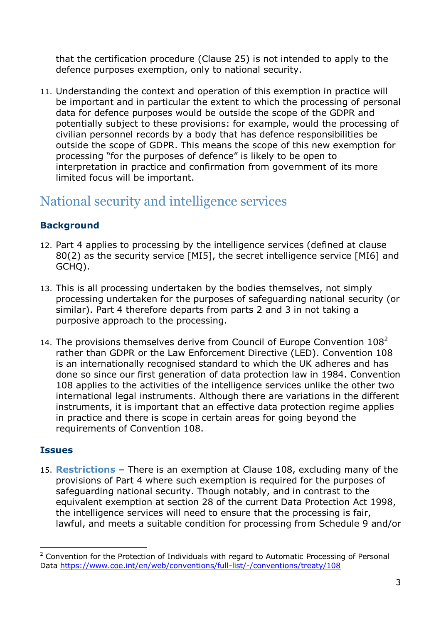that the certification procedure (Clause 25) is not intended to apply to the defence purposes exemption, only to national security.

11. Understanding the context and operation of this exemption in practice will be important and in particular the extent to which the processing of personal data for defence purposes would be outside the scope of the GDPR and potentially subject to these provisions: for example, would the processing of civilian personnel records by a body that has defence responsibilities be outside the scope of GDPR. This means the scope of this new exemption for processing "for the purposes of defence" is likely to be open to interpretation in practice and confirmation from government of its more limited focus will be important.

# National security and intelligence services

#### **Background**

- 12. Part 4 applies to processing by the intelligence services (defined at clause 80(2) as the security service [MI5], the secret intelligence service [MI6] and GCHQ).
- 13. This is all processing undertaken by the bodies themselves, not simply processing undertaken for the purposes of safeguarding national security (or similar). Part 4 therefore departs from parts 2 and 3 in not taking a purposive approach to the processing.
- 14. The provisions themselves derive from Council of Europe Convention  $108<sup>2</sup>$ rather than GDPR or the Law Enforcement Directive (LED). Convention 108 is an internationally recognised standard to which the UK adheres and has done so since our first generation of data protection law in 1984. Convention 108 applies to the activities of the intelligence services unlike the other two international legal instruments. Although there are variations in the different instruments, it is important that an effective data protection regime applies in practice and there is scope in certain areas for going beyond the requirements of Convention 108.

#### **Issues**

15. **Restrictions –** There is an exemption at Clause 108, excluding many of the provisions of Part 4 where such exemption is required for the purposes of safeguarding national security. Though notably, and in contrast to the equivalent exemption at section 28 of the current Data Protection Act 1998, the intelligence services will need to ensure that the processing is fair, lawful, and meets a suitable condition for processing from Schedule 9 and/or

<sup>-</sup><sup>2</sup> Convention for the Protection of Individuals with regard to Automatic Processing of Personal Data <https://www.coe.int/en/web/conventions/full-list/-/conventions/treaty/108>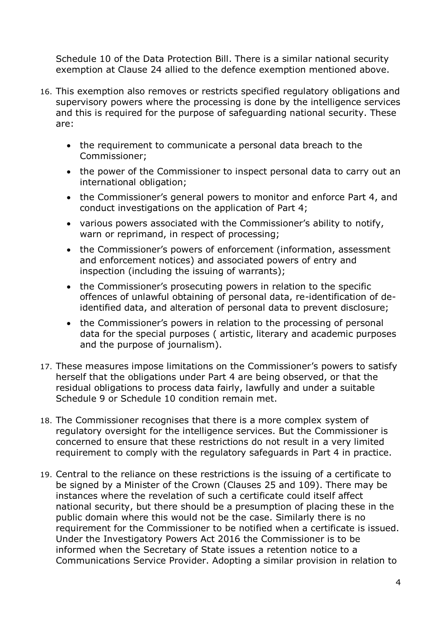Schedule 10 of the Data Protection Bill. There is a similar national security exemption at Clause 24 allied to the defence exemption mentioned above.

- 16. This exemption also removes or restricts specified regulatory obligations and supervisory powers where the processing is done by the intelligence services and this is required for the purpose of safeguarding national security. These are:
	- the requirement to communicate a personal data breach to the Commissioner;
	- the power of the Commissioner to inspect personal data to carry out an international obligation;
	- the Commissioner's general powers to monitor and enforce Part 4, and conduct investigations on the application of Part 4;
	- various powers associated with the Commissioner's ability to notify, warn or reprimand, in respect of processing;
	- the Commissioner's powers of enforcement (information, assessment and enforcement notices) and associated powers of entry and inspection (including the issuing of warrants);
	- the Commissioner's prosecuting powers in relation to the specific offences of unlawful obtaining of personal data, re-identification of deidentified data, and alteration of personal data to prevent disclosure;
	- the Commissioner's powers in relation to the processing of personal data for the special purposes ( artistic, literary and academic purposes and the purpose of journalism).
- 17. These measures impose limitations on the Commissioner's powers to satisfy herself that the obligations under Part 4 are being observed, or that the residual obligations to process data fairly, lawfully and under a suitable Schedule 9 or Schedule 10 condition remain met.
- 18. The Commissioner recognises that there is a more complex system of regulatory oversight for the intelligence services. But the Commissioner is concerned to ensure that these restrictions do not result in a very limited requirement to comply with the regulatory safeguards in Part 4 in practice.
- 19. Central to the reliance on these restrictions is the issuing of a certificate to be signed by a Minister of the Crown (Clauses 25 and 109). There may be instances where the revelation of such a certificate could itself affect national security, but there should be a presumption of placing these in the public domain where this would not be the case. Similarly there is no requirement for the Commissioner to be notified when a certificate is issued. Under the Investigatory Powers Act 2016 the Commissioner is to be informed when the Secretary of State issues a retention notice to a Communications Service Provider. Adopting a similar provision in relation to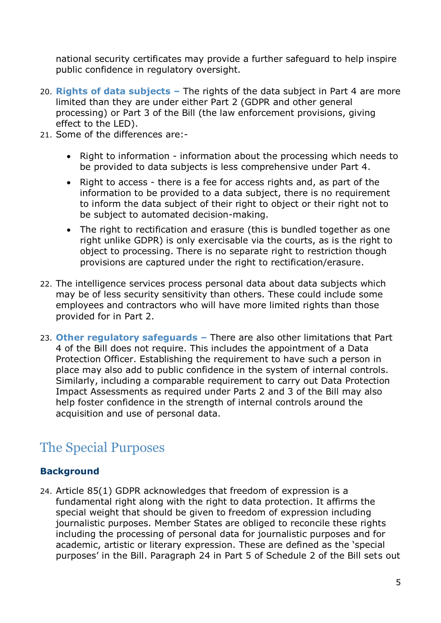national security certificates may provide a further safeguard to help inspire public confidence in regulatory oversight.

- 20. **Rights of data subjects –** The rights of the data subject in Part 4 are more limited than they are under either Part 2 (GDPR and other general processing) or Part 3 of the Bill (the law enforcement provisions, giving effect to the LED).
- 21. Some of the differences are:-
	- Right to information information about the processing which needs to be provided to data subjects is less comprehensive under Part 4.
	- Right to access there is a fee for access rights and, as part of the information to be provided to a data subject, there is no requirement to inform the data subject of their right to object or their right not to be subject to automated decision-making.
	- The right to rectification and erasure (this is bundled together as one right unlike GDPR) is only exercisable via the courts, as is the right to object to processing. There is no separate right to restriction though provisions are captured under the right to rectification/erasure.
- 22. The intelligence services process personal data about data subjects which may be of less security sensitivity than others. These could include some employees and contractors who will have more limited rights than those provided for in Part 2.
- 23. **Other regulatory safeguards –** There are also other limitations that Part 4 of the Bill does not require. This includes the appointment of a Data Protection Officer. Establishing the requirement to have such a person in place may also add to public confidence in the system of internal controls. Similarly, including a comparable requirement to carry out Data Protection Impact Assessments as required under Parts 2 and 3 of the Bill may also help foster confidence in the strength of internal controls around the acquisition and use of personal data.

# The Special Purposes

#### **Background**

24. Article 85(1) GDPR acknowledges that freedom of expression is a fundamental right along with the right to data protection. It affirms the special weight that should be given to freedom of expression including journalistic purposes. Member States are obliged to reconcile these rights including the processing of personal data for journalistic purposes and for academic, artistic or literary expression. These are defined as the 'special purposes' in the Bill. Paragraph 24 in Part 5 of Schedule 2 of the Bill sets out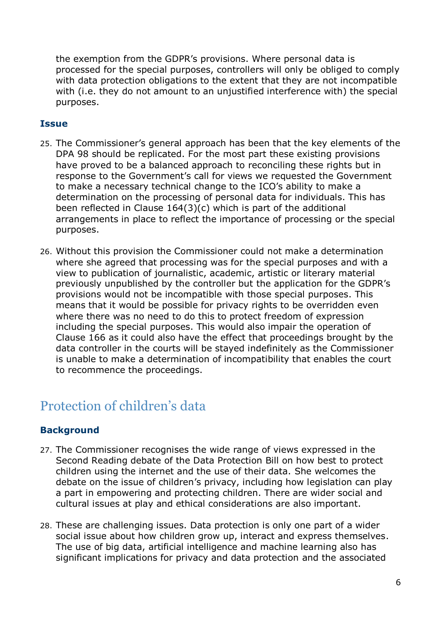the exemption from the GDPR's provisions. Where personal data is processed for the special purposes, controllers will only be obliged to comply with data protection obligations to the extent that they are not incompatible with (i.e. they do not amount to an unjustified interference with) the special purposes.

#### **Issue**

- 25. The Commissioner's general approach has been that the key elements of the DPA 98 should be replicated. For the most part these existing provisions have proved to be a balanced approach to reconciling these rights but in response to the Government's call for views we requested the Government to make a necessary technical change to the ICO's ability to make a determination on the processing of personal data for individuals. This has been reflected in Clause 164(3)(c) which is part of the additional arrangements in place to reflect the importance of processing or the special purposes.
- 26. Without this provision the Commissioner could not make a determination where she agreed that processing was for the special purposes and with a view to publication of journalistic, academic, artistic or literary material previously unpublished by the controller but the application for the GDPR's provisions would not be incompatible with those special purposes. This means that it would be possible for privacy rights to be overridden even where there was no need to do this to protect freedom of expression including the special purposes. This would also impair the operation of Clause 166 as it could also have the effect that proceedings brought by the data controller in the courts will be stayed indefinitely as the Commissioner is unable to make a determination of incompatibility that enables the court to recommence the proceedings.

### Protection of children's data

#### **Background**

- 27. The Commissioner recognises the wide range of views expressed in the Second Reading debate of the Data Protection Bill on how best to protect children using the internet and the use of their data. She welcomes the debate on the issue of children's privacy, including how legislation can play a part in empowering and protecting children. There are wider social and cultural issues at play and ethical considerations are also important.
- 28. These are challenging issues. Data protection is only one part of a wider social issue about how children grow up, interact and express themselves. The use of big data, artificial intelligence and machine learning also has significant implications for privacy and data protection and the associated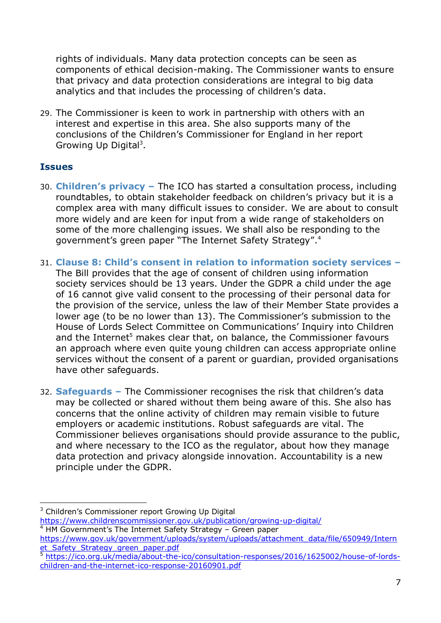rights of individuals. Many data protection concepts can be seen as components of ethical decision-making. The Commissioner wants to ensure that privacy and data protection considerations are integral to big data analytics and that includes the processing of children's data.

29. The Commissioner is keen to work in partnership with others with an interest and expertise in this area. She also supports many of the conclusions of the Children's Commissioner for England in her report Growing Up Digital<sup>3</sup>.

#### **Issues**

- 30. **Children's privacy –** The ICO has started a consultation process, including roundtables, to obtain stakeholder feedback on children's privacy but it is a complex area with many difficult issues to consider. We are about to consult more widely and are keen for input from a wide range of stakeholders on some of the more challenging issues. We shall also be responding to the government's green paper "The Internet Safety Strategy".<sup>4</sup>
- 31. **Clause 8: Child's consent in relation to information society services –** The Bill provides that the age of consent of children using information society services should be 13 years. Under the GDPR a child under the age of 16 cannot give valid consent to the processing of their personal data for the provision of the service, unless the law of their Member State provides a lower age (to be no lower than 13). The Commissioner's submission to the House of Lords Select Committee on Communications' Inquiry into Children and the Internet<sup>5</sup> makes clear that, on balance, the Commissioner favours an approach where even quite young children can access appropriate online services without the consent of a parent or guardian, provided organisations have other safeguards.
- 32. **Safeguards –** The Commissioner recognises the risk that children's data may be collected or shared without them being aware of this. She also has concerns that the online activity of children may remain visible to future employers or academic institutions. Robust safeguards are vital. The Commissioner believes organisations should provide assurance to the public, and where necessary to the ICO as the regulator, about how they manage data protection and privacy alongside innovation. Accountability is a new principle under the GDPR.

<https://www.childrenscommissioner.gov.uk/publication/growing-up-digital/>

<sup>4</sup> HM Government's The Internet Safety Strategy – Green paper

<sup>-</sup><sup>3</sup> Children's Commissioner report Growing Up Digital

[https://www.gov.uk/government/uploads/system/uploads/attachment\\_data/file/650949/Intern](https://www.gov.uk/government/uploads/system/uploads/attachment_data/file/650949/Internet_Safety_Strategy_green_paper.pdf) et Safety Strategy green paper.pdf

<sup>5</sup> [https://ico.org.uk/media/about-the-ico/consultation-responses/2016/1625002/house-of-lords](https://ico.org.uk/media/about-the-ico/consultation-responses/2016/1625002/house-of-lords-children-and-the-internet-ico-response-20160901.pdf)[children-and-the-internet-ico-response-20160901.pdf](https://ico.org.uk/media/about-the-ico/consultation-responses/2016/1625002/house-of-lords-children-and-the-internet-ico-response-20160901.pdf)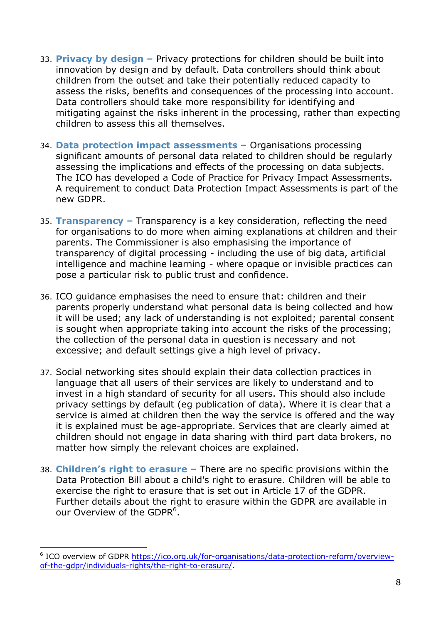- 33. **Privacy by design –** Privacy protections for children should be built into innovation by design and by default. Data controllers should think about children from the outset and take their potentially reduced capacity to assess the risks, benefits and consequences of the processing into account. Data controllers should take more responsibility for identifying and mitigating against the risks inherent in the processing, rather than expecting children to assess this all themselves.
- 34. **Data protection impact assessments –** Organisations processing significant amounts of personal data related to children should be regularly assessing the implications and effects of the processing on data subjects. The ICO has developed a Code of Practice for Privacy Impact Assessments. A requirement to conduct Data Protection Impact Assessments is part of the new GDPR.
- 35. **Transparency –** Transparency is a key consideration, reflecting the need for organisations to do more when aiming explanations at children and their parents. The Commissioner is also emphasising the importance of transparency of digital processing - including the use of big data, artificial intelligence and machine learning - where opaque or invisible practices can pose a particular risk to public trust and confidence.
- 36. ICO guidance emphasises the need to ensure that: children and their parents properly understand what personal data is being collected and how it will be used; any lack of understanding is not exploited; parental consent is sought when appropriate taking into account the risks of the processing; the collection of the personal data in question is necessary and not excessive; and default settings give a high level of privacy.
- 37. Social networking sites should explain their data collection practices in language that all users of their services are likely to understand and to invest in a high standard of security for all users. This should also include privacy settings by default (eg publication of data). Where it is clear that a service is aimed at children then the way the service is offered and the way it is explained must be age-appropriate. Services that are clearly aimed at children should not engage in data sharing with third part data brokers, no matter how simply the relevant choices are explained.
- 38. **Children's right to erasure –** There are no specific provisions within the Data Protection Bill about a child's right to erasure. Children will be able to exercise the right to erasure that is set out in Article 17 of the GDPR. Further details about the right to erasure within the GDPR are available in our Overview of the GDPR<sup>6</sup>.

<sup>6</sup> ICO overview of GDPR [https://ico.org.uk/for-organisations/data-protection-reform/overview](https://ico.org.uk/for-organisations/data-protection-reform/overview-of-the-gdpr/individuals-rights/the-right-to-erasure/)[of-the-gdpr/individuals-rights/the-right-to-erasure/.](https://ico.org.uk/for-organisations/data-protection-reform/overview-of-the-gdpr/individuals-rights/the-right-to-erasure/)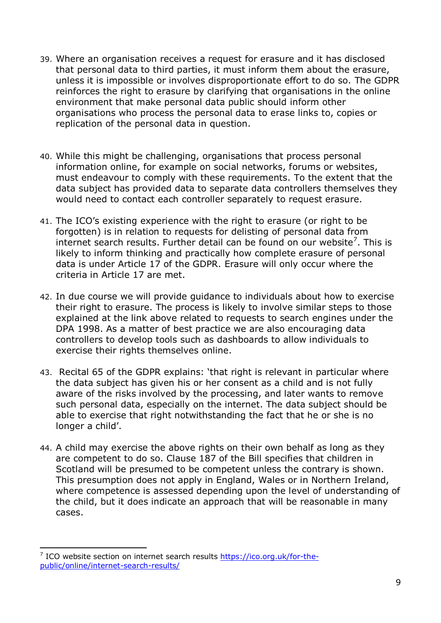- 39. Where an organisation receives a request for erasure and it has disclosed that personal data to third parties, it must inform them about the erasure, unless it is impossible or involves disproportionate effort to do so. The GDPR reinforces the right to erasure by clarifying that organisations in the online environment that make personal data public should inform other organisations who process the personal data to erase links to, copies or replication of the personal data in question.
- 40. While this might be challenging, organisations that process personal information online, for example on social networks, forums or websites, must endeavour to comply with these requirements. To the extent that the data subject has provided data to separate data controllers themselves they would need to contact each controller separately to request erasure.
- 41. The ICO's existing experience with the right to erasure (or right to be forgotten) is in relation to requests for delisting of personal data from internet search results. Further detail can be found on our website<sup>7</sup>. This is likely to inform thinking and practically how complete erasure of personal data is under Article 17 of the GDPR. Erasure will only occur where the criteria in Article 17 are met.
- 42. In due course we will provide guidance to individuals about how to exercise their right to erasure. The process is likely to involve similar steps to those explained at the link above related to requests to search engines under the DPA 1998. As a matter of best practice we are also encouraging data controllers to develop tools such as dashboards to allow individuals to exercise their rights themselves online.
- 43. Recital 65 of the GDPR explains: 'that right is relevant in particular where the data subject has given his or her consent as a child and is not fully aware of the risks involved by the processing, and later wants to remove such personal data, especially on the internet. The data subject should be able to exercise that right notwithstanding the fact that he or she is no longer a child'.
- 44. A child may exercise the above rights on their own behalf as long as they are competent to do so. Clause 187 of the Bill specifies that children in Scotland will be presumed to be competent unless the contrary is shown. This presumption does not apply in England, Wales or in Northern Ireland, where competence is assessed depending upon the level of understanding of the child, but it does indicate an approach that will be reasonable in many cases.

<sup>7</sup> ICO website section on internet search results [https://ico.org.uk/for-the](https://ico.org.uk/for-the-public/online/internet-search-results/)[public/online/internet-search-results/](https://ico.org.uk/for-the-public/online/internet-search-results/)